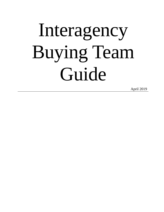# Interagency Buying Team Guide

April 2019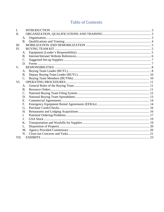# **Table of Contents**

| $\mathbf{I}$ . |                 |  |
|----------------|-----------------|--|
| II.            |                 |  |
|                | A.              |  |
|                | <b>B.</b>       |  |
| III.           |                 |  |
| IV.            |                 |  |
|                | A.              |  |
|                | <b>B.</b>       |  |
|                | $\mathcal{C}$ . |  |
|                | D.              |  |
| V.             |                 |  |
|                | A.              |  |
|                | <b>B.</b>       |  |
|                | C.              |  |
| VI.            |                 |  |
|                | A.              |  |
|                | B.              |  |
|                | $\mathcal{C}$ . |  |
|                | D.              |  |
|                | E.              |  |
|                | F.              |  |
|                | G.              |  |
|                | H.              |  |
|                | $\mathbf{I}$ .  |  |
|                | J <sub>r</sub>  |  |
|                | Κ.              |  |
|                | L.              |  |
|                | M.              |  |
|                | N.              |  |
| VII.           |                 |  |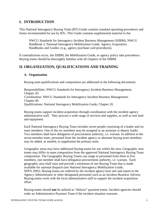# <span id="page-2-0"></span>**I. INTRODUCTION**

This National Interagency Buying Team (BT) Guide contains standard operating procedures and forms recommended for use by BTs. This Guide contains supplemental material to the:

NWCG Standards for Interagency Incident Business Management (SIIBM), NWCG Handbook 2, National Interagency Mobilization Guide, Agency Acquisition Handbooks and Guides. (e.g., agency purchase card procedures).

If contradictions occur, the SIIBM, the Mobilization Guide, or agency policy take precedence. Buying teams should be thoroughly familiar with all chapters of the SIIBM.

# <span id="page-2-2"></span><span id="page-2-1"></span>**II. ORGANIZATION, QUALIFICATIONS AND TRAINING**

#### **A. Organization**

Buying team qualifications and composition are addressed in the following documents:

Responsibilities: NWCG Standards for Interagency Incident Business Management, Chapter 20. Coordination: NWCG Standards for Interagency Incident Business Management, Chapter 40. Qualifications: National Interagency Mobilization Guide, Chapter 20.

Buying teams support incident acquisition through coordination with the incident agency administrative staff. They procure a wide range of services and supplies, as well as rent land and equipment.

Each National Interagency Buying Team includes seven people consisting of a leader and six team members. One of the six members may be assigned as an assistant or deputy leader. Two members shall have delegation of procurement authority, i.e. warrant. In addition to the seven-member team, personnel from the incident agency or alternate buying team members may be added, as needed, to supplement the primary team.

Geographic areas may have additional buying teams for use within the area. Geographic area teams may differ in team composition from the approved National Interagency Buying Team composition. The Geographic Buying Teams can range in personnel from three to five members, one member shall have delegation procurement authority, i.e. warrant. Each geographic area shall train and provide a minimum of one Buying Team that is made available for national dispatch (see National Interagency Mobilization Guide, NFES 2092). Buying teams are ordered by the incident agency host unit and report to the Agency Administrator or other designated personnel such as an Incident Business Advisor. Buying teams work with the local administrative staff to support the incident acquisition effort.

Buying teams should **not** be utilized as "defacto" payment teams. Incident agencies should order an Administrative Payment Team if the incident situation warrants.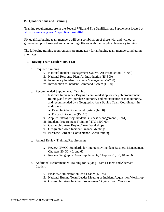#### <span id="page-3-0"></span>**B. Qualifications and Training**

Training requirements are in the Federal Wildland Fire Qualifications Supplement located at [https://www.nwcg.gov/?q=publications/310-1.](https://www.nwcg.gov/?q=publications/310-1)

Six qualified buying team members will be a combination of those with and without a government purchase card and contracting officers with their applicable agency training.

The following training requirements are mandatory for all buying team members, including alternates:

#### **1. Buying Team Leaders (BUYL):**

- a. Required Training.
	- i. National Incident Management System, An Introduction (IS-700)
	- ii. National Response Plan, An Introduction (IS-800)
	- iii. Interagency Incident Business Management (S-260)
	- iv. Introduction to Incident Command System (I-100)
- b. Recommended Supplemental Training
	- i. National Interagency Buying Team Workshop, on-the-job procurement training, and micro-purchase authority and maintenance of that authority, and recommended by a Geographic Area Buying Team Coordinator, in addition to:
		- Basic Incident Command System (I-200)
		- Dispatch Recorder (D-110)
	- ii. Applied Interagency Incident Business Management (S-261)
	- iii. Incident Procurement Training (NTC 1500-60)
	- iv. Geographic Area Buying Team Workshops
	- v. Geographic Area Incident Finance Meetings
	- vi. Purchase Card and Convenience Check training
- c. Annual Review Training Requirements
	- i. Review NWCG Standards for Interagency Incident Business Management, Chapters 20, 30, 40, and 60.
	- ii. Review Geographic Area Supplements, Chapters 20, 30, 40 and 60.
- d. Additional Recommended Training for Buying Team Leaders and Alternate Leaders
	- i. Finance/Administration Unit Leader (L-975)
	- ii. National Buying Team Leader Meeting or Incident Acquisition Workshop
	- iii. Geographic Area Incident Procurement/Buying Team Workshop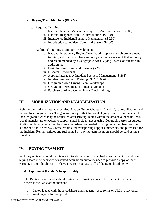#### **2. Buying Team Members (BUYM):**

- a. Required Training.
	- i. National Incident Management System, An Introduction (IS-700)
	- ii. National Response Plan, An Introduction (IS-800)
	- iii. Interagency Incident Business Management (S-260)
	- iv. Introduction to Incident Command System (I-100)
- b. Additional Training to Support Development
	- i. National Interagency Buying Team Workshop, on-the-job procurement training, and micro-purchase authority and maintenance of that authority, and recommended by a Geographic Area Buying Team Coordinator, in addition to:
	- ii. Basic Incident Command Systems (I-200)
	- iii. Dispatch Recorder (D-110)
	- iv. Applied Interagency Incident Business Management (S-261)
	- v. Incident Procurement Training (NTC 1500-60)
	- vi. Geographic Area Buying Team Workshops
	- vii. Geographic Area Incident Finance Meetings

viii.Purchase Card and Convenience Check training

# <span id="page-4-0"></span>**III. MOBILIZATION AND DEMOBILIZATION**

Refer to the National Interagency Mobilization Guide, Chapters 10 and 20, for mobilization and demobilization guidelines. The general policy is that National Buying Teams from outside of the Geographic Area may be requested after Buying Teams within the area have been utilized. Local agencies are expected to support small incident needs using Geographic Area resources. Additional buying team members may be ordered as needed. Buying team members may be authorized a mid-size SUV rental vehicle for transporting supplies, materials, etc. purchased for the incident. Rental vehicles and fuel rented by buying team members should be paid using a travel card.

# <span id="page-4-1"></span>**IV. BUYING TEAM KIT**

Each buying team should maintain a kit to utilize when dispatched to an incident. In addition, buying team members with warranted acquisition authority need to provide a copy of their warrant. Teams should carry or have electronic access to all of the items listed below:

#### <span id="page-4-2"></span>**A. Equipment (Leader's Responsibility)**

The Buying Team Leader should bring the following items to the incident or ensure access is available at the incident:

- 1. Laptop loaded with the spreadsheets and frequently used forms or URLs to reference.
- 2. Working area for 7–8 people.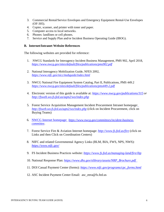- 3. Commercial Rental/Service Envelopes and Emergency Equipment Rental-Use Envelopes (OF-305).
- 4. Copier, scanner, and printer with toner and paper.
- 5. Computer access to local networks.
- 6. Phones: landlines or cell phones.
- 7. Service and Supply Plan and/or Incident Business Operating Guide (IBOG).

#### <span id="page-5-0"></span>**B. Internet/Intranet Website References**

The following websites are provided for reference:

- 1. NWCG Standards for Interagency Incident Business Management, PMS 902, April 2018, *<https://www.nwcg.gov/sites/default/files/publications/pms902.pdf>*
- 2. National Interagency Mobilization Guide, NFES 2092, *<https://www.nifc.gov/nicc/mobguide/index.html>*
- 3. NWCG National Fire Equipment System Catalog, Part II, Publications, PMS 449.2 *https://www.nwcg.gov/sites/default/files/publications/pms449-2.pdf*
- 4. Electronic version of this guide is available at: *[https://www.nwcg.gov/publications/315 o](https://www.nwcg.gov/publications/315)r [http://fsweb.wo.fs.fed.us/aqm2/wo/index.php](http://fsweb.wo.fs.fed.us/aqm/incident/buying_teams/)*
- 5. Forest Service Acquisition Management Incident Procurement Intranet homepage: *<http://fsweb.wo.fs.fed.us/aqm2/wo/index.php>* (click on Incident Procurement, click on Buying Teams)
- 6. NWCG Internet homepage: *[https://www.nwcg.gov/committees/incident-business](https://www.nwcg.gov/committees/incident-business-committee)[committee](https://www.nwcg.gov/committees/incident-business-committee)*.
- 7. Forest Service Fire & Aviation Internet homepage: *<http://www.fs.fed.us/fire>* (click on Links and then Click on Coordination Centers)
- 8. NIFC and related Governmental Agency Links (BLM, BIA, FWS, NPS, NWS): *[https://www.nifc.gov/](http://www.nifc.gov/)*
- 9. FS Incident Business Practices website: *https://www.fs.fed.us/managing-land/fire/ibp*
- 10. National Response Plan: *https://www.dhs.gov/xlibrary/assets/NRP\_Brochure.pdf*
- 11. DOI Casual Payment Center (forms): *[https://www.nifc.gov/programs/cpc\\_forms.html](https://www.nifc.gov/programs/cpc_forms.html)*
- 12. ASC Incident Payment Center Email: asc\_eera@fs.fed.us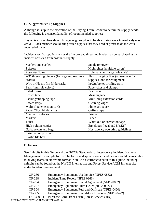#### <span id="page-6-0"></span>**C. Suggested Set-up Supplies**

Although it is up to the discretion of the Buying Team Leader to determine supply needs, the following is a consolidated list of recommended supplies:

Buying team members should bring enough supplies to be able to start work immediately upon arrival. Each member should bring office supplies that they need or prefer to do the work required of them.

Incident specific supplies such as the file box and three-ring binder may be purchased at the incident or issued from host units supply.

| Staplers and staples                           | Staple removers                         |
|------------------------------------------------|-----------------------------------------|
| <b>Scissors</b>                                | Highlighter (multiple colors)           |
| Post-It <sup>®</sup> Notes                     | Hole puncher (large hole style)         |
| 2-3" three-ring binders (for logs and resource | Plastic hanging files (at least one for |
| orders)                                        | supplies, one for equipment)            |
| Wire or Plastic file folder racks              | In/Out boxes or filing trays            |
| Pens (multiple colors)                         | Paper clips and clamps                  |
| Label maker                                    | Duct tape                               |
| Scotch tape                                    | Masking tape                            |
| Packing/strapping tape                         | Multi-plug extension cords              |
| Power strips                                   | Cleaning wipes                          |
| Multi-plug extension cords                     | Flip chart paper                        |
| Paper Clips/binder clips                       | Gaffers tape                            |
| <b>Manila Envelopes</b>                        | Printer                                 |
| <b>Markers</b>                                 | Paper                                   |
| Toner                                          | White-out or correction tape            |
| High volume copier                             | Envelopes (legal and $8"x12"$ )         |
| Garbage can and bags                           | Host agency operating guidelines        |
| External jump drives                           |                                         |
| Plastic file box                               |                                         |

#### <span id="page-6-1"></span>**D. Forms**

See Exhibits in this Guide and the NWCG Standards for Interagency Incident Business Management for sample forms. The forms and spreadsheets listed below should be available to buying teams in electronic format. Note: An electronic version of this guide including exhibits can be found on the NWCG Internet site and Forest Service AQM Intranet site under Incident Procurement.

| OF-286        | Emergency Equipment Use Invoice (NFES 0863)         |
|---------------|-----------------------------------------------------|
| <b>OF-288</b> | Incident Time Report (NFES 0866)                    |
| OF-294        | Emergency Equipment Rental Agreement (NFES 0862)    |
| OF-297        | Emergency Equipment Shift Ticket (NFES 0872)        |
| OF-304        | Emergency Equipment Fuel and Oil Issue (NFES 0420)  |
| OF-305        | Emergency Equipment Rental-Use Envelope (NFES 0422) |
| FS-6300-51    | Purchase Card Order Form (Forest Service Only)      |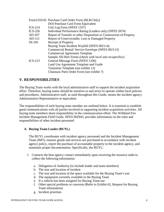|                               | Form1510-65 Purchase Card Order Form (BLM Only)                     |  |  |  |  |
|-------------------------------|---------------------------------------------------------------------|--|--|--|--|
|                               | DOI Purchase Card Form Equivalent                                   |  |  |  |  |
| $ICS-214$                     | Unit Log Form (NFES 1337)                                           |  |  |  |  |
| $ICS-226$                     | Individual Performance Rating (Leaders only) (NFES 2074)            |  |  |  |  |
| AD-107                        | Report of Transfer or other Disposition or Construction of Property |  |  |  |  |
| AD-112                        | Report of Unserviceable, Lost or Damaged Property                   |  |  |  |  |
| DI-105<br>Receipt of Property |                                                                     |  |  |  |  |
|                               | Buying Team Incident Waybill (NFES 002114)                          |  |  |  |  |
|                               | Commercial Rental/ Service Envelope (NFES 002113)                   |  |  |  |  |
|                               | <b>Commercial Agreement Template</b>                                |  |  |  |  |
|                               | Sample AD Hire Forms (check with local unit on specifics)           |  |  |  |  |
| $ICS-213$                     | General Message Form (NFES 1336)                                    |  |  |  |  |
|                               | Land Use Agreement Template and Guide                               |  |  |  |  |
|                               | Transition Template (see exhibit 12)                                |  |  |  |  |
|                               | Chainsaw Parts Order Form (see exhibit 7)                           |  |  |  |  |

## <span id="page-7-0"></span>**V. RESPONSIBILITIES**

The Buying Team works with the local administrative staff to support the incident acquisition effort. Therefore, buying teams should be sensitive to and strive to operate within local policies and procedures. Administrative staff, as used throughout this Guide, means the incident agency Administrative Representative or equivalent.

The responsibilities of each buying team member are outlined below. It is essential to establish good communications with all parties involved in supporting incident acquisition activities. All buying team members share responsibility in the communication effort. The Wildland Fire Incident Management Field Guide, NFES 002943, provides information on the roles and responsibilities of other incident personnel.

#### <span id="page-7-1"></span>**A. Buying Team Leader (BUYL)**

The BUYL coordinates with incident agency personnel and the Incident Management Team (IMT), ensures goods and services are purchased in accordance with incident agency policy, report the purchase of accountable property to the incident agency, and maintains proper documentation. Specifically, the BUYL:

- 1. Contacts the host agency contact immediately upon receiving the resource order to collect the following information:
	- a. Delegation of Authority (to include leader and team members)
	- b. The size and location of incident
	- c. The size and location of the space available for the Buying Team's use
	- d. The equipment currently available to the Buying Team
	- e. If a vehicle has been assigned for Buying Team use
	- f. Other special problems or concerns (Refer to Exhibit #2, Request for Buying Team information)
	- g. Incident priorities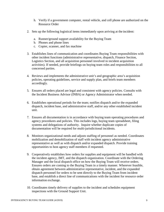- h. Verify if a government computer, rental vehicle, and cell phone are authorized on the Resource Order
- 2. Sets up the following logistical items immediately upon arriving at the incident:
	- a. Runner/ground support availability for the Buying Team
	- b. Phones and phone lines
	- c. Copier, scanner, and fax machine
- 3. Establishes lines of communication and coordinates Buying Team responsibilities with other incident functions (administrative representative, dispatch, Finance Section, Logistics Section, and all acquisition personnel involved in incident acquisition activities). If needed, provide briefings on buying team roles and responsibilities to all concerned parties.
- 4. Reviews and implements the administrative unit's and geographic area's acquisition policies, operating guidelines, service and supply plan, and briefs team members accordingly.
- 5. Ensures all orders placed are legal and consistent with agency policies. Consults with the Incident Business Advisor (INBA) or Agency Administrator when needed.
- 6. Establishes operational periods for the team; notifies dispatch and/or the expanded dispatch, incident base, and administrative staff, and/or any other established incident unit.
- 7. Ensures all documentation is in accordance with buying team operating procedures and agency procedures and policies. This includes logs, buying team spreadsheet, filing systems and delegations of authority. Inquire whether duplicate copies of documentation will be required for multi-jurisdictional incidents.
- 8. Monitors organizational needs and adjusts staffing of personnel as needed. Coordinates mobilization and demobilization of staff with incident agency administrative representative as well as with dispatch and/or expanded dispatch. Provide training opportunities to host agency staff members if requested.
- 9. Cooperatively establishes how orders for supplies and equipment will be handled with the incident agency, IMT, and the dispatch organization. Coordinate with the Ordering Manager and the local dispatch office on how the Buying Team will receive orders. Ensures orders are coming to the Buying Team in a timely manner. Wherever feasible, obtain agreement between administrative representative, incident, and the expanded dispatch personnel for orders to be sent directly to the Buying Team from incident base, and establish a direct line of communications with the incident for resource order information exchange.
- 10. Coordinates timely delivery of supplies to the incident and schedules equipment inspections with the Ground Support Unit.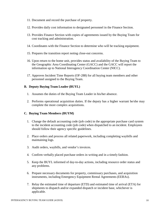- 11. Document and record the purchase of property.
- 12. Provides daily cost information to designated personnel in the Finance Section.
- 13. Provides Finance Section with copies of agreements issued by the Buying Team for cost tracking and administration.
- 14. Coordinates with the Finance Section to determine who will be tracking equipment.
- 15. Prepares the transition report noting close-out concerns.
- 16. Upon return to the home unit, provides status and availability of the Buying Team to the Geographic Area Coordinating Center (GACC) and the GACC will report the information up to National Interagency Coordination Center (NICC).
- 17. Approves Incident Time Reports (OF-288) for all buying team members and other personnel assigned to the Buying Team.

#### <span id="page-9-0"></span>**B. Deputy Buying Team Leader (BUYL)**

- 1. Assumes the duties of the Buying Team Leader in his/her absence.
- 2. Performs operational acquisition duties. If the deputy has a higher warrant he/she may complete the more complex acquisitions.

#### <span id="page-9-1"></span>**C. Buying Team Members (BUYM)**

- 1. Change the default accounting code (job code) in the appropriate purchase card system to the incident accounting code (job code) when dispatched to an incident. Employees should follow their agency specific guidelines.
- 2. Place orders and process all related paperwork, including completing waybills and maintaining logs.
- 3. Audit orders, waybills, and vendor's invoices.
- 4. Confirm verbally placed purchase orders in writing and in a timely fashion.
- 5. Keep the BUYL informed of day-to-day actions, including resource order status and any problems.
- 6. Prepare necessary documents for property, commissary purchases, and acquisition instruments, including Emergency Equipment Rental Agreements (EERAs).
- 7. Relay the estimated time of departure (ETD) and estimated time of arrival (ETA) for shipments to dispatch and/or expanded dispatch or incident base, whichever is applicable.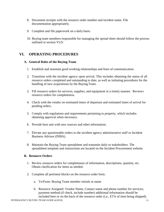- 8. Document receipts with the resource order number and incident name. File documentation appropriately.
- 9. Complete and file paperwork on a daily basis.
- 10. Buying team members responsible for managing the spread sheet should follow the process outlined in section VI.D.

# <span id="page-10-1"></span><span id="page-10-0"></span>**VI. OPERATING PROCEDURES**

#### **A. General Roles of the Buying Team**

- 1. Establish and maintain good working relationships and lines of communication.
- 2. Transition with the incident agency upon arrival. This includes obtaining the status of all resource orders completed and outstanding to date, as well as initiating procedures for the handling of new acquisitions by the Buying Team.
- 3. Fill resource orders for services, supplies, and equipment in a timely manner. Reviews resource orders for completeness.
- 4. Check with the vendor on estimated times of departure and estimated times of arrival for pending orders.
- 5. Comply with regulations and requirements pertaining to property, which includes obtaining approval when necessary.
- 6. Provide host unit with new sources and other information.
- 7. Elevate any questionable orders to the incident agency administrative staff or Incident Business Advisor (INBA).
- 8. Maintain the Buying Team spreadsheet and transmits daily to stakeholders. The spreadsheet template and instructions are located on the Incident Procurement website.

#### <span id="page-10-2"></span>**B. Resource Orders**

- 1. Review resource orders for completeness of information, descriptions, quantity, etc. Obtain clarification for items as needed.
- 2. Complete all pertinent blocks on the resource order form.
	- a. To/From: Buying Team member initials or name
	- b. Resource Assigned: Vendor Name, Contact name and phone number for services; payment method (if check, include number) additional information should be included here or on the back of the resource order (i.e., ETA of item being shipped).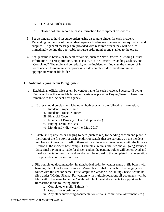- c. ETD/ETA: Purchase date
- d. Released column: record release information for equipment or services.
- 3. Set up binders to hold resource orders using a separate binder for each incident. Depending on the size of the incident separate binders may be needed for equipment and supplies. If general messages are provided with resource orders they will be filed immediately behind the applicable resource order number and stapled to the order.
- 4. Set up status in boxes (or folders) for orders, such as "New Orders", "Pending Further Information", "Transportation", "In Transit", "To Be Posted", "Standing Orders", and "Completed". The scale and complexity of the incident will indicate the number of in boxes needed to maintain clear processes. File completed documentation in the appropriate vendor file folder.

#### <span id="page-11-0"></span>**C. National Buying Team Filing System**

- 1. Establish an official file system by vendor name for each incident. Successor Buying Teams will use the same file boxes and system as previous Buying Team. These files remain with the incident host agency.
	- a. Boxes should be clear and labeled on both ends with the following information:
		- i. Incident/ Project Name
		- ii. Incident/ Project Number
		- iii. Financial Code
		- iv. Number of Boxes (i.e. 1 of 2 if applicable)
		- v. Buying Team Doc Box
		- vi. Month and 4 digit year (i.e. May 2019)
	- b. Establish separate color hanging folders (such as red) for pending section and place in the front of the file box for each vendor for rentals that are currently on the incident and have not been paid. (All of these will also have a white envelope with the Finance Section at the incident base camp). Examples: rentals, utilities and on-going services. Once final payment is made for these vendors the pending folder will be removed and the documentation for that paid vendor will be moved to the completed documentation in alphabetical order vendor files.
	- c. File completed documentation in alphabetical order by vendor name in file boxes with hanging file folder for each vendor. Make plastic label to attach to the hanging file folder with the vendor name. For example the vendor "The Hiking Shack" would be filed under "Hiking Shack." For vendors with multiple locations all documents will be filed within the same folder i.e. "Walmart." Include all documents to support each transaction in the following order:
		- i. Completed waybill (Exhibit 4)
		- ii. Copy of receipt/invoice
		- iii. Any other supporting documentation (emails, commercial agreement, etc.)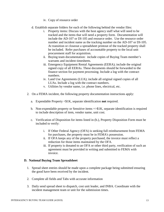- iv. Copy of resource order
- d. Establish separate folders for each of the following behind the vendor files:
	- i. Property items: Discuss with the host agency staff what will need to be tracked and the items that will need a property form. Documentation will include the AD-107 or DI-105 and resource order. Use the resource order number and incident name as the tracking number on the AD-107 or DI-105. At transition or closeout a spreadsheet printout of the tracked property shall be included. Refer purchases of accountable property to the local unit procurement staff for acquisition.
	- ii. Buying team documentation: include copies of Buying Team member's warrants and incident timesheets.
	- iii. Emergency Equipment Rental Agreements (EERA); include the original signed copy of all EERAs. These documents should be forwarded to the finance section for payment processing. Include a log with the contract numbers.
	- iv. Land Use Agreements (LUA); include all original signed copies of all LUAs. Include a log with the contract numbers.
	- v. Utilities by vendor name, i.e. phone lines, electrical, etc.
- 2. On a FEMA incident, the following property documentation instructions apply:
	- a. Expendable Property <\$1K, separate identification **not** required.
	- b. Non-expendable property or Sensitive items =>\$1K, separate identification is required to include description of item, vendor name, unit cost.
	- c. Verification of Disposition for items listed in (b.), Property Disposition Form must be included to verify:
		- i. If Other Federal Agency (OFA) is seeking full reimbursement from FEMA for purchases, the property must be in FEMA's possession.
		- ii. If OFA keeps any of the property purchased, the invoice must reflect a reduction for those items maintained by the OFA.
		- iii. If property is donated to an OFA or other third party, verification of such an agreement must be provided in writing and submitted to FEMA with invoice.

#### <span id="page-12-0"></span>**D. National Buying Team Spreadsheet**

- 1. Spread sheet entries should be made upon a complete package being submitted ensuring the good have been received by the incident.
- 2. Complete all fields and Tabs with accurate information
- 3. Daily send spread sheet to dispatch, cost unit leader, and INBA. Coordinate with the incident management team or unit for the submission times.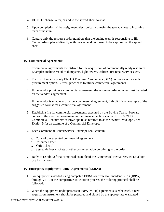- 4. DO NOT change, alter, or add to the spread sheet format.
- 5. Upon completion of the assignment electronically transfer the spread sheet to incoming team or host unit.
- 6. Capture only the resource order numbers that the buying team is responsible to fill. Cache orders, placed directly with the cache, do not need to be captured on the spread sheet.

#### <span id="page-13-0"></span>**E. Commercial Agreements**

- 1. Commercial agreements are utilized for the acquisition of commercially ready resources. Examples include rental of dumpsters, light towers, utilities, tire repair services, etc.
- 2. The use of incident-only Blanket Purchase Agreements (BPA) are no longer a viable procurement option. Current practice is to utilize commercial agreements.
- 3. If the vendor provides a commercial agreement, the resource order number must be noted on the vendor's agreement.
- 4. If the vendor is unable to provide a commercial agreement, Exhibit 2 is an example of the suggested format for a commercial agreement.
- 5. Establish a file for commercial agreements executed by the Buying Team. Forward copies of the executed agreement to the Finance Section via the NFES 002113 Commercial Rental/Service Envelope (also referred to as the "white" envelope). See Exhibit 5 for an example of a Commercial Envelope.
- 6. Each Commercial Rental/Service Envelope shall contain:
	- a. Copy of the executed commercial agreement
	- b. Resource Order
	- c. Shift ticket(s)
	- d. Signed delivery tickets or other documentation pertaining to the order
- 7. Refer to Exhibit 2 for a completed example of the Commercial Rental/Service Envelope use instructions.

#### <span id="page-13-1"></span>**F. Emergency Equipment Rental Agreements (EERAs)**

- 1. For equipment awarded using competed EERAs or preseason incident BPAs (IBPA) through VIPR or the competitive solicitation process, the ordering protocol shall be followed.
- 2. When the equipment under preseason IBPA (VIPR) agreements is exhausted, a new acquisition instrument should be prepared and signed by the appropriate warranted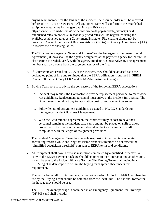buying team member for the length of the incident. A resource order must be received before an EERA can be awarded. All equipment rates will conform to the established equipment rental rates for the geographic area (90% rate https://www.fs.fed.us/business/incident/viprreports.php?tab=tab\_d#ninety) or if established rates do not exist, reasonably priced rates will be negotiated using the available established rates as a Government Estimate. Fire chasing should not be rewarded. Contact the Incident Business Advisor (INBA) or Agency Administrator (AA) to resolve the fire chasing issues.

- 3. The "Procurement Agency: Name and Address" on the Emergency Equipment Rental Agreement (OF294) shall be the agency designated at the payment agency for the fire. If clarification is needed, verify with the agency Incident Business Advisor. The agreement number shall also come from the payment agency of the fire.
- 4. If Contractors are issued an EERA at the Incident, they should be advised as to the designated point of hire and reminded that the EERA utilization is outlined in SIIBM Chapter 20 Incident Only EERA and LUA Administrative Changes.
- 5. Buying Team role is to advise the contractors of the following EERA expectations:
	- a. Incident may request the Contractor to provide replacement personnel to meet work rest guidelines. Replacement personnel must arrive at the incident fully rested. The Government should not pay transportation cost for replacement personnel.
	- b. Follow length of assignment guidelines as stated in NWCG Standards for Interagency Incident Business Management.
	- c. With the Government's agreement, the contractor may choose to have their personnel remain at the incident base camp and not be placed on shift to allow proper rest. The time is not compensable when the Contractor is off shift in compliance with the length of assignment provisions.
- 6. The Incident Management Team has the sole responsibility to maintain accurate accounting records while ensuring that EERA vendor's invoices do not exceed the "simplified acquisition threshold" pursuant to EERA terms and conditions.
- 7. All equipment shall have a pre-use inspection completed by a qualified inspector. A copy of the EERA payment package should be given to the Contractor and another copy should be sent to the Incident Finance Section. The Buying Team shall maintain an EERA log. The data captured within the buying team spread sheet meets this requirement.
- 8. Maintain a log of all EERA numbers, in numerical order. A block of EERA numbers for use by the Buying Team should be obtained from the local unit. The national format for the host agency should be used.
- 9. The EERA payment package is contained in an Emergency Equipment Use Envelope (OF-305) and shall include: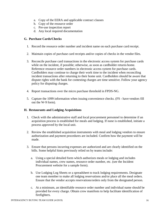- a. Copy of the EERA and applicable contract clauses
- b. Copy of the resource order
- c. Pre-use inspection report
- d. Any local required documentation

#### <span id="page-15-0"></span>**G. Purchase Cards/Checks**

- 1. Record the resource order number and incident name on each purchase card receipt.
- 2. Maintain copies of purchase card receipts and/or copies of checks in the vendor files.
- 3. Reconcile purchase card transactions in the electronic access system for purchase cards while on the incident, if possible; otherwise, as soon as cardholder returns home. Reference resource order numbers in electronic access system for purchase cards. Cardholders may continue to charge their work time to the incident when reconciling incident transactions after returning to their home unit. Cardholders should be aware that dispute rights with the bank for contesting charges are time sensitive. Follow your agency policy for disputing charges.
- 4. Report transactions over the micro purchase threshold in FPDS-NG.
- 5. Capture the 1099 information when issuing convenience checks. (FS have vendors fill out the W-9 form).

#### <span id="page-15-1"></span>**H. Restaurants and Lodging Acquisitions**

- 1. Check with the administrative staff and local procurement personnel to determine if an acquisition process is established for meals and lodging. If none is established, initiate a process approved by the local unit.
- 2. Review the established acquisition instruments with meal and lodging vendors to ensure authorization and payment procedures are included. Confirm how the payment will be made.
- 3. Ensure that persons incurring expenses are authorized and are clearly identified on the bills. Some helpful hints previously relied on by teams include:
	- a. Using a special detailed form which authorizes meals or lodging and includes individual names, crew names, resource order number, etc. (see the Incident Procurement website for a sample form).
	- b. Use Lodging Log Sheets or a spreadsheet to track lodging requirements. Designate one team member to make all lodging reservations and/or place all the meal orders. Ensure that the vendor accepts reservations/orders only from the designated person.
	- c. At a minimum, an identifiable resource order number and individual name should be provided for every charge. Obtain crew manifests to help facilitate identification of firefighters.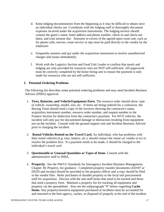- d. Keep lodging documentation from the beginning as it may be difficult to obtain once an individual checks out. Coordinate with the lodging staff to thoroughly document expenses incurred under the acquisition instruments. The lodging invoice should contain the guest's name, hotel address and phone number, check-in and check-out dates, and total amount due. Amounts in excess of the agreed-upon room rate, such as for phone calls, movies, room service or tips must be paid directly to the vendor by the employee.
- e. Frequently monitor and pay under the acquisition instrument to resolve unauthorized charges and issues immediately.
- f. Work with the Logistics Section and Food Unit Leader to confirm that meals and lodging are only provided for resources who are NOT self-sufficient. AD paperwork must be correctly completed by the home hiring unit to ensure the payment is only made for resources who are not self-sufficient.

#### <span id="page-16-0"></span>**I. Potential Ordering Problems**

The following list describes some potential ordering problems and may need Incident Business Advisor (INBA) approval:

- 1. **Tires, Batteries, and Vehicle/Equipment Parts.** The resource order should show: type of vehicle, ownership, model, size, etc. If items are being ordered for a contractor, the Buying Team should send a copy of the invoices showing the contractor's name, acquisition instrument number, resource order number, and request number to the Finance Section for deduction from the contractor's payment. For WCF vehicles, the incident will only pay for documented damage or destruction resulting from equipment use on the incident. Consult with the ground support unit and Incident Business Advisor prior to charging the incident.
- 2. **Rental Vehicles Rented on the Travel Card.** An individual, who has problems with their rental vehicles (e.g. tires, battery, etc.), should contact the rental car vendor to try to resolve the problem first. If a payment needs to be made, it should be charged to the individual's travel card.
- 3. **Questionable or Unusual Quantities or Types of Items**. Consult with the administrative staff or INBA.
- 4. **Property.** See the NWCG Standards for Interagency Incident Business Management, Chapter 30, Property, for guidance. Completed property transfer documents (AD107 or DI105 and receipt) should be provided to the property officer and a copy should be filed in the vendor files. Refer purchases of durable property to the local unit procurement staff for acquisition. Discuss with the unit staff items that need to be tracked and those that need a property form. Maintain a property list for tracking all equipment and property via the spreadsheet. Also see the subparagraph "9" below regarding **Cache Items.** Any property/sensitive equipment purchased at incidents must be accounted for and returned to the host agency, caches, or disposed of properly at the end of the incident.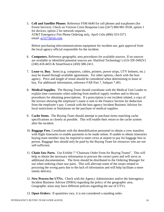5. **Cell and Satellite Phones**. Reference FSM 6640 for cell phones and tracphones (for Forest Service). Check on Verizon Crisis Response Line (24/7) 800-981-9558, option 1 for devices, option 2 for network requests. AT&T Emergency Fire Phone Ordering only, April Celis (866) 553-5571 email:  $ac5273@att.com$ .

Before purchasing telecommunications equipment for incident use, gain approval from the local agency official responsible for the incident.

- 6. **Computers.** Reference geographic area procedures for available sources. If no sources are available or identified potential sources are: Hartford Technology's (GS-35F-0492V) (240) 418-4455 & SmartSource (450) 588-2411.
- 7. **Lease vs. Buy.** Items (e.g. computers, cables, printers, power strips, UTV helmets, etc.) may be leased through available agreements. For other options, check with the host agency. Price and length of rental should be considered when determining to lease or buy. For additional information, reference FAR Part 7, Subpart 7.401.
- 8. **Medical Supplies.** The Buying Team should coordinate with the Medical Unit Leader to explain time constraints when ordering from medical supply vendors and to discuss procedures for obtaining prescriptions. If a prescription is not incident related, a copy of the invoice showing the employee's name is sent to the Finance Section for deduction from the employee's pay. Consult with the host agency Incident Business Advisor for local restrictions or limitations on the purchase of medical supplies.
- 9. **Cache Items.** The Buying Team should attempt to purchase items matching cache specifications as closely as possible. This will enable their return to the cache system after the incident.
- 10. **Baggage Fees.** Coordinate with the demobilization personnel to obtain a crew manifest with flight itineraries to enable payments to be made online. If unable to obtain itineraries buying team member may be required to meet crews at airport to pay for baggage fees in person. Baggage fees should only be paid by the Buying Team for resources who are not self-sufficient.
- 11. **Chain Saw Parts.** Use Exhibit 7 "Chainsaw Order Form for Buying Teams". This will help to obtain the necessary information to procure the correct parts and will serve as additional documentation. The form should be distributed to the Ordering Manager for use when ordering chain saw parts. This will alleviate some of the issues related to procuring the wrong parts due to the lack of information and will help facilitate a more timely delivery.
- 12. **New Process for UTVs.** Check with the Agency Administrator and/or the Interagency Incident Business Advisor (INBA) regarding the policy of the geographic area. Geographic areas may have different policies regarding the use of UTVs.
- 13. **Open Orders:** If quantities vary, it is not considered a standing order.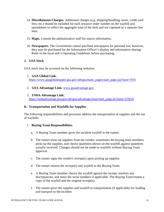- 14. **Miscellaneous Charges:** Additional charges (e.g. shipping/handling, taxes, credit card fees, etc.) should be included for each resource order number on the waybill and spreadsheet to reflect the aggregate total of the item and not captured as a separate line item.
- 15. **Maps.** Consult the administrative staff for source information.
- 16. **Newspapers.** The Government cannot purchase newspapers for personal use, however, they may be purchased for the Information Officer's display and information sharing. Refer to the local unit's Operating Guidelines before purchasing.

#### <span id="page-18-0"></span>**J. GSA Stock**

GSA stock may be accessed on the following websites:

#### 1. **GSA Global Link**:

[https://www.gsaglobalsupply.gsa.gov/advgsa/main\\_pages/start\\_page.jsp?store=FSS](https://www.gsaglobalsupply.gsa.gov/advgsa/main_pages/start_page.jsp?store=FSS)

2. **GSA Advantage Link:** [www.gsaadvantage.gov](http://www.gsaadvantage.gov/)

#### 3. **USDA Advantage Link**:

[https://usdaadvantage.gsa.gov/advgsa/advantage/main/start\\_page.do?store=USDA](https://usdaadvantage.gsa.gov/advgsa/advantage/main/start_page.do?store=USDA)

#### <span id="page-18-1"></span>**K. Transportation and Waybills for Supplies**

The following responsibilities and processes address the transportation of supplies and the use of waybills:

#### 1. **Buying Team Responsibilities**.

- a. A Buying Team member gives the incident waybill to the runner.
- b. The runner picks up supplies from the vendor; sometimes the buying team members picks up the supplies, and checks quantities shown on the waybill against quantities actually received. Changes should not be made to waybills without Buying Team approval.
- c. The runner signs the vendor's receipt(s) upon picking up supplies.
- d. The runner returns the receipt(s) and waybill to the Buying Team.
- e. A Buying Team member checks the waybill against the receipt, resolves any discrepancies, and notes the serial numbers if applicable. The Buying Team retains a copy of the waybill and the original receipt(s).
- f. The runner gives the supplies and waybill to transportation (if applicable) for loading and transport to the incident.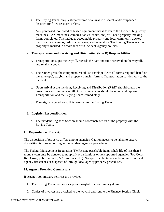- g. The Buying Team relays estimated time of arrival to dispatch and/or expanded dispatch for filled resource orders.
- h. Any purchased, borrowed or leased equipment that is taken to the Incident (e.g., copy machines, FAX machines, cameras, tables, chairs, etc.) will need property tracking forms completed. This includes accountable property and local commonly tracked items such as cameras, radios, chainsaws, and generators. The Buying Team ensures property is marked in accordance with incident Agency policies.

#### 2. **Transportation and Receiving and Distribution (R & D) Responsibilities**.

- a. Transportation signs the waybill, records the date and time received on the waybill, and retains a copy.
- b. The runner gives the equipment, rental use envelope (with all forms required listed on the envelope), waybill and property transfer form to Transportation for delivery to the incident.
- c. Upon arrival at the incident, Receiving and Distribution (R&D) should check the quantities and sign the waybill. Any discrepancies should be noted and reported to Transportation and the Buying Team immediately.
- d. The original signed waybill is returned to the Buying Team.

#### 3. **Logistics Responsibilities**.

a. The incident Logistics Section should coordinate return of the property with the Buying Team.

#### <span id="page-19-0"></span>**L. Disposition of Property**

The disposition of property differs among agencies. Caution needs to be taken to ensure disposition is done according to the incident agency's procedures.

The Federal Management Regulation (FMR) state perishable items (shelf life of less than 6 months) can only be donated to nonprofit organizations or tax supported agencies (Job Corps, Red Cross, public schools, VA hospitals, etc.). Non-perishable items can be retained in local agency fire caches or disposed of through local agency property procedures.

#### <span id="page-19-1"></span>**M. Agency Provided Commissary**

If Agency commissary services are provided:

- 1. The Buying Team prepares a separate waybill for commissary items.
- 2. Copies of invoices are attached to the waybill and sent to the Finance Section Chief.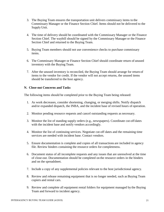- 3. The Buying Team ensures the transportation unit delivers commissary items to the Commissary Manager or the Finance Section Chief. Items should not be delivered to the Supply Unit.
- 4. The time of delivery should be coordinated with the Commissary Manager or the Finance Section Chief. The waybill should be signed by the Commissary Manager or the Finance Section Chief and returned to the Buying Team.
- 5. Buying Team members should not use convenience checks to purchase commissary items.
- 6. The Commissary Manager or Finance Section Chief should coordinate return of unused inventory with the Buying Team.
- 7. After the unused inventory is reconciled, the Buying Team should arrange for return of items to the vendor for credit. If the vendor will not accept returns, the unused items should be transferred to the host agency.

#### <span id="page-20-0"></span>**N. Close-out Concerns and Tasks**

The following items should be completed prior to the Buying Team being released:

- 1. As work decreases, consider shortening, changing, or merging shifts. Notify dispatch and/or expanded dispatch, the INBA, and the incident base of revised hours of operation.
- 2. Monitor pending resource requests and cancel outstanding requests as necessary.
- 3. Monitor the list of standing supply orders (e.g., newspapers). Coordinate cut-off dates with the incident base and notify vendors accordingly.
- 4. Monitor the list of continuing services. Negotiate cut-off dates and the remaining time services are needed with incident base. Contact vendors.
- 5. Ensure documentation is complete and copies of all transactions are included in agency file. Review binders containing the resource orders for completeness.
- 6. Document status of all incomplete requests and any issues that are unresolved at the time of close-out. Documentation should be completed on the resource orders in the binders and on the spreadsheet.
- 7. Include a copy of any supplemental policies relevant to the host jurisdictional agency.
- 8. Review and release remaining equipment that is no longer needed, such as Buying Team copiers and rental cars.
- 9. Review and complete all equipment rental folders for equipment managed by the Buying Team and forward to incident agency.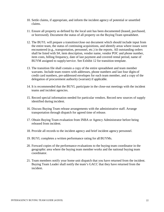- 10. Settle claims, if appropriate, and inform the incident agency of potential or unsettled claims.
- 11. Ensure all property as defined by the local unit has been documented (leased, purchased, or borrowed). Document the status of all property on the Buying Team spreadsheet.
- 12. The BUYL will prepare a transition/close out document which should include input from the entire team, the status of continuing acquisitions, and identify areas where issues were encountered (e.g., transportation, personnel, etc.) in the reports. All outstanding orders shall be listed with S#, item description, vendor name, vendor POC and phone number, item costs, billing frequency, date of last payment and covered rental period, name of BUYM assigned to supply/service. See Exhibit 12 for transition template.
- 13. The transition file shall contain a copy of the entire spreadsheet and team member warrants. Include team rosters with addresses, phone numbers and last four digits of credit card numbers, pre-addressed envelopes for each team member, and a copy of the delegation of procurement authority (warrant) if applicable.
- 14. It is recommended that the BUYL participate in the close-out meetings with the incident teams and incident agencies.
- 15. Record special information needed for particular vendors. Record new sources of supply identified during incident.
- 16. Discuss Buying Team release arrangements with the administrative staff. Arrange transportation through dispatch for agreed time of release.
- 17. Obtain Buying Team evaluation from INBA or Agency Administrator before being released from incident.
- 18. Provide all records to the incident agency and brief incident agency personnel.
- 19. BUYL completes a written performance rating for all BUYMs.
- 20. Forward copies of the performance evaluations to the buying team coordinator in the geographic area where the buying team member works and the national buying team coordinator.
- 21. Team members notify your home unit dispatch that you have returned from the incident. Buying Team Leader shall notify the team's GACC that they have returned from the incident.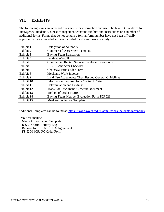# <span id="page-22-0"></span>**VII. EXHIBITS**

The following forms are attached as exhibits for information and use. The NWCG Standards for Interagency Incident Business Management contains exhibits and instructions on a number of additional forms. Forms that do not contain a formal form number have not been officially approved or recommended and are included for discretionary use only.

| Exhibit 1  | Delegation of Authority                                 |
|------------|---------------------------------------------------------|
| Exhibit 2  | <b>Commercial Agreement Template</b>                    |
| Exhibit 3  | <b>Buying Team Evaluation</b>                           |
| Exhibit 4  | Incident Waybill                                        |
| Exhibit 5  | <b>Commercial Rental/ Service Envelope Instructions</b> |
| Exhibit 6  | <b>EERA</b> Contractor Checklist                        |
| Exhibit 7  | <b>Chainsaw Parts Order Form</b>                        |
| Exhibit 8  | Mechanic Work Invoice                                   |
| Exhibit 9  | Land Use Agreements Checklist and General Guidelines    |
| Exhibit 10 | Information Required for a Contract Claim               |
| Exhibit 11 | Determination and Findings                              |
| Exhibit 12 | <b>Transition Document/ Closeout Document</b>           |
| Exhibit 13 | Method of Order Matrix                                  |
| Exhibit 14 | Buying Team Member Evaluation Form ICS 226              |
| Exhibit 15 | <b>Meal Authorization Template</b>                      |

Additional Templates can be found at:<https://fsweb.wo.fs.fed.us/aqm3/pages/incident/?tab=policy>

Resources include:

Meals Authorization Template ICS 214 form Activity Log Request for EERA or LUA Agreement FS-6300-0051 PC Order Form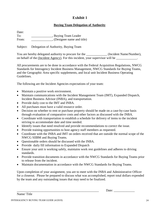#### **Buying Team Delegation of Authority**

Date: To:  $\qquad \qquad$  , Buying Team Leader From: Changelen (Designee name and title)

Subject: Delegation of Authority, Buying Team

You are hereby delegated authority to procure for the (Incident Name/Number), on behalf of the (Incident Agency). For this incident, your supervisor will be

All procurements are to be done in accordance with the Federal Acquisition Regulations, NWCG Standards for Interagency Incident Business Management, NWCG Standards for Buying Teams, and the Geographic Area specific supplements, and local unit Incident Business Operating Guidelines.

The following are the Incident Agencies expectations of your team:

- Maintain a positive work environment.
- Maintain communications with the Incident Management Team (IMT), Expanded Dispatch, Incident Business Advisor (INBA), and transportation.
- Provide daily cost to the IMT and INBA.
- All purchases must have a valid resource order.
- Decision on whether to rent or purchase property should be made on a case-by-case basis through evaluation of comparative costs and other factors as discussed with the INBA.
- Coordinate with transportation to establish a schedule for delivery of items to the incident striving to accommodate date and time needed.
- Identify issues that need resolved and provide recommendations to correct the issue.
- Provide training opportunities to host agency staff members as requested.
- Coordinate with the INBA and IMT on orders received that are outside the normal scope of the NWCG SIIBM and Buying Teams.
- Questionable orders should be discussed with the INBA.
- Provide daily fill information to Expanded Dispatch
- Ensure your unit is working safely, maintains work rest guidelines and adheres to driving standards.
- Provide transition documents in accordance with the NWCG Standards for Buying Teams prior to release from the incident.
- Maintain documentation in accordance with the NWCG Standards for Buying Teams.

Upon completion of your assignment, you are to meet with the INBA and Administrative Officer for a closeout. Please be prepared to discuss what was accomplished, report total dollars expended by the team and any outstanding issues that may need to be finalized.

Name/ Title

\_\_\_\_\_\_\_\_\_\_\_\_\_\_\_\_\_\_\_\_\_\_\_\_\_\_\_\_\_\_\_\_\_\_\_\_\_\_\_\_\_\_\_\_\_\_\_\_\_\_\_ Date: \_\_\_\_\_\_\_\_\_\_\_\_\_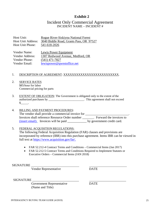#### Incident Only Commercial Agreement INCIDENT NAME – INCIDENT #

Host Unit: Rogue River-Siskiyou National Forest Host Unit Address: 3040 Biddle Road, Grants Pass, OR 97527 Host Unit Phone: 541-618-2026

Vendor Name: Lewis Power Equipment Vendor Address: 1307 Redwood Avenue, Medford, OR Vendor Phone: (541) 471-7827 Vendor Email: [lewispower@qwestoffice.net](mailto:lewispower@qwestoffice.net) 

#### 1. DESCRIPTION OF AGREEMENT: XXXXXXXXXXXXXXXXXXXXXXXXX.

- 2. SERVICE RATES \$85/hour for labor Commercial pricing for parts
- 3. EXTENT OF OBLIGATION: The Government is obligated only to the extent of the authorized purchases by \_\_\_\_\_\_\_\_\_\_\_\_\_\_\_\_\_\_\_\_\_\_\_\_. This agreement shall not exceed  $\frac{\S_{\_}}{\S_{\_}}$ .
- 4. BILLING AND PAYMENT PROCEDURES: The vendor shall provide a commercial invoice for \_\_\_\_\_\_\_\_\_\_\_\_\_\_\_\_\_\_\_\_\_\_\_\_\_\_\_\_\_\_ Invoices shall reference Resource Order number \_\_\_\_\_\_\_. Forward the invoices to [\(insert email\).](mailto:_____@usda.gov) Invoices will be paid by government credit card.

#### 5. FEDERAL ACQUISITION REGULATIONS:

The following Federal Acquisition Regulation (FAR) clauses and provisions are incorporated by reference (IBR) into this purchase agreement. Items IBR can be viewed in full text at [https://www.acquisition.gov/far/.](https://www.acquisition.gov/far/)

- FAR 52.212-4 Contract Terms and Conditions Commercial Items (Jan 2017)
- FAR 52.212-5 Contract Terms and Conditions Required to Implement Statutes or Executive Orders – Commercial Items (JAN 2018)

SIGNATURE

Vendor Representative DATE

SIGNATURE

 Government Representative DATE (Name and Title)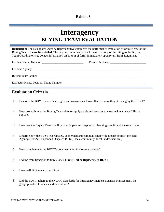# **Interagency BUYING TEAM EVALUATION**

**Instruction:** The Designated Agency Representative completes the performance evaluation prior to release of the Buying Team. **Please be detailed.** The Buying Team Leader shall forward a copy of the rating to the Buying Team Coordinator (see contact information on bottom of form) immediately upon return from assignment.

| Evaluator Name, Position, Phone Number: |  |
|-----------------------------------------|--|

# **Evaluation Criteria**

- 1. Describe the BUYT Leader's strengths and weaknesses. How effective were they at managing the BUYT?
- 2. How promptly was the Buying Team able to supply goods and services to meet incident needs? Please explain.
- 3. How was the Buying Team's ability to anticipate and respond to changing conditions? Please explain.
- 4. Describe how the BUYT coordinated, cooperated and communicated with outside entities (Incident Agency(s) IBA(s) Expanded Dispatch IMT(s), local community, local landowners etc.)
- 5. How complete was the BUYT's documentation & closeout package?
- 6. Did the team transition to (circle one): **Home Unit** or **Replacement BUYT**
- 7. How well did the team transition?
- 8. Did the BUYT adhere to the NWCG Standards for Interagency Incident Business Management, the geographic/local policies and procedures?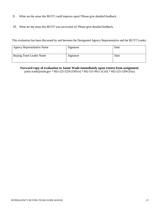- 9. What are the areas this BUYT could improve upon? Please give detailed feedback.
- 10. What are the areas this BUYT was successful in? Please give detailed feedback.

This evaluation has been discussed by and between the Designated Agency Representative and the BUYT Leader.

| <b>Agency Representative Name</b> | Signature | Date |
|-----------------------------------|-----------|------|
| Buying Team Leader Name           | Signature | Date |

**Forward copy of evaluation to Jamie Wade immediately upon return from assignment** jamie.wade@usda.gov \* 602-225-5256 (Office) \* 602-531-9611 (Cell) \* 602-225-5204 (Fax)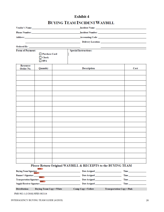# **BUYING TEAM INCIDENT WAYBILL**

|                              |                                             |  |                                                              | Incident Name: Name and Separation of the Contract of the Contract of the Contract of the Contract of the Contract of the Contract of the Contract of the Contract of the Contract of the Contract of the Contract of the Cont |
|------------------------------|---------------------------------------------|--|--------------------------------------------------------------|--------------------------------------------------------------------------------------------------------------------------------------------------------------------------------------------------------------------------------|
|                              |                                             |  |                                                              |                                                                                                                                                                                                                                |
|                              |                                             |  |                                                              |                                                                                                                                                                                                                                |
|                              |                                             |  |                                                              |                                                                                                                                                                                                                                |
|                              |                                             |  |                                                              |                                                                                                                                                                                                                                |
| Form of Payment:             |                                             |  | <b>Special Instructions:</b>                                 |                                                                                                                                                                                                                                |
|                              | Purchase Card<br>$\Box$ Check<br>$\Box$ BPA |  |                                                              |                                                                                                                                                                                                                                |
| <b>Resource</b>              |                                             |  |                                                              |                                                                                                                                                                                                                                |
| Order No.                    | Quantity                                    |  | <b>Description</b>                                           | Cost                                                                                                                                                                                                                           |
|                              |                                             |  |                                                              |                                                                                                                                                                                                                                |
|                              |                                             |  |                                                              |                                                                                                                                                                                                                                |
|                              |                                             |  |                                                              |                                                                                                                                                                                                                                |
|                              |                                             |  |                                                              |                                                                                                                                                                                                                                |
|                              |                                             |  |                                                              |                                                                                                                                                                                                                                |
|                              |                                             |  |                                                              |                                                                                                                                                                                                                                |
|                              |                                             |  |                                                              |                                                                                                                                                                                                                                |
|                              |                                             |  |                                                              |                                                                                                                                                                                                                                |
|                              |                                             |  |                                                              |                                                                                                                                                                                                                                |
|                              |                                             |  |                                                              |                                                                                                                                                                                                                                |
|                              |                                             |  |                                                              |                                                                                                                                                                                                                                |
|                              |                                             |  |                                                              |                                                                                                                                                                                                                                |
|                              |                                             |  |                                                              |                                                                                                                                                                                                                                |
|                              |                                             |  |                                                              |                                                                                                                                                                                                                                |
|                              |                                             |  |                                                              |                                                                                                                                                                                                                                |
|                              |                                             |  |                                                              |                                                                                                                                                                                                                                |
|                              |                                             |  |                                                              |                                                                                                                                                                                                                                |
|                              |                                             |  |                                                              |                                                                                                                                                                                                                                |
|                              |                                             |  |                                                              |                                                                                                                                                                                                                                |
|                              |                                             |  |                                                              |                                                                                                                                                                                                                                |
|                              |                                             |  |                                                              |                                                                                                                                                                                                                                |
|                              | <b>MNAM</b>                                 |  | Please Return Original WAYBILL & RECEIPTS to the BUYING TEAM |                                                                                                                                                                                                                                |
| <b>Buying Team Signature</b> |                                             |  |                                                              | Time                                                                                                                                                                                                                           |
| <b>Runner's Signature</b>    |                                             |  | Date Assigned                                                | <b>Time</b>                                                                                                                                                                                                                    |

| Runner's Signature               |                          | Date Assigned      | Time                              |
|----------------------------------|--------------------------|--------------------|-----------------------------------|
| Transportation Signature         |                          | Date Assigned      | Time                              |
| <b>Supply/Receiver Signature</b> |                          | Date Assigned      | Time                              |
| Distribution:                    | Buying Team Copy . White | Camp Copy . Yellow | <b>Transportation Copy . Pink</b> |

PMS 902-1 (3/2018) NFES 002114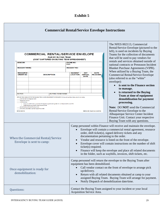| <b>Commercial Rental/Service Envelope Instructions</b> |  |
|--------------------------------------------------------|--|
|                                                        |  |

| <b>VENDOR:</b><br><b>INCIDENT NAME:</b>                                                                                                                                                                                                                                                                                                                                                                                                                                                                                                                                    | <b>COMMERCIAL RENTAL/SERVICE ENVELOPE</b><br><b>PAID BY BUYING TEAM</b><br>(COST CAPTURED ON BUYING TEAM SPREADSHEET)<br><b>PHONE NO:</b><br>POC:<br><b>INCIDENT NO:</b> |                                                                                                                                                                                                                                                                                                                                                                                                                                                                                                                                                                             |  |                                                                                                                                                                                                                                                                                                                                                                                                                                                                                        |  |
|----------------------------------------------------------------------------------------------------------------------------------------------------------------------------------------------------------------------------------------------------------------------------------------------------------------------------------------------------------------------------------------------------------------------------------------------------------------------------------------------------------------------------------------------------------------------------|--------------------------------------------------------------------------------------------------------------------------------------------------------------------------|-----------------------------------------------------------------------------------------------------------------------------------------------------------------------------------------------------------------------------------------------------------------------------------------------------------------------------------------------------------------------------------------------------------------------------------------------------------------------------------------------------------------------------------------------------------------------------|--|----------------------------------------------------------------------------------------------------------------------------------------------------------------------------------------------------------------------------------------------------------------------------------------------------------------------------------------------------------------------------------------------------------------------------------------------------------------------------------------|--|
| <b>RESOURCE</b><br><b>ORDER NO.</b><br><b>DESCRIPTION</b><br><b>BUYER:</b><br><b>BUYING TEAM NAME:</b><br>RETURN THIS ENVELOPE TO THE BUYING TEAM WHEN EQUIPMENT IS RELEASED. Enclose all pertinent documents including:<br>_commercial rental agreement<br>____resource order(s)<br>shift ticket(s)<br>() only one shift ticket required with beginning and ending date for rental period for each RO.<br>() shift ticket required for each day of rental<br>_signed delivery tickets from vendor<br>__other documentation pertaining to this order<br><b>NFES 002113</b> | <b>INCIDENT</b><br><b>LOCATION</b>                                                                                                                                       | <b>EST</b><br><b>DATE</b><br><b>ARRIVAL</b><br><b>RELEASED</b><br><b>DATE</b><br>NWCG-IBC Test Form (1/2014)                                                                                                                                                                                                                                                                                                                                                                                                                                                                |  | Blanket Purchase Agreements (VIPR).<br>When utilized by a Buying Team, the<br><b>Commercial Rental/Service Envelope</b><br>(also referred to as the "white"<br>envelope):<br>is sent to the Finance section<br>to manage.<br>is returned to the Buying<br>Team at time of equipment<br>demobilization for payment<br>processing.<br>Note: DO NOT send the Commercial<br>Rental/Service Envelope to the<br>Albuquerque Service Center Incident<br>Finance Unit. Contact your respective |  |
| When the Commercial Rental/Service<br>Envelope is sent to camp:                                                                                                                                                                                                                                                                                                                                                                                                                                                                                                            | $\bullet$<br>$\bullet$<br>$\bullet$<br>$\bullet$                                                                                                                         | Buying Team with any questions.<br>Camp personnel within Finance will receive and maintain the envelope.<br>Envelope will contain a commercial rental agreement, resource<br>order, shift ticket(s), signed delivery tickets and any<br>documentation pertaining to the order.<br>Vendor and resource is listed on the front of the envelope.<br>Envelope cover will contain instructions on the number of shift<br>ticket(s) required.<br>Finance will keep the envelope and place all related documents<br>in the folder, such as waybills, invoices, shift tickets, etc. |  |                                                                                                                                                                                                                                                                                                                                                                                                                                                                                        |  |
| Camp personnel will return the envelope to the Buying Team after<br>equipment has been demobilized.<br>Call vendor contact on the front of envelope to arrange pick<br>Once equipment is ready for<br>up/delivery.<br>demobilization:<br>Return with all related documents obtained at camp to your<br>$\bullet$<br>assigned Buying Team. Buying Team will arrange for payment.<br>Notify Dispatch of demobilization date/time.<br>$\bullet$                                                                                                                               |                                                                                                                                                                          |                                                                                                                                                                                                                                                                                                                                                                                                                                                                                                                                                                             |  |                                                                                                                                                                                                                                                                                                                                                                                                                                                                                        |  |
| Questions:                                                                                                                                                                                                                                                                                                                                                                                                                                                                                                                                                                 | Contact the Buying Team assigned to your incident or your local<br>Acquisition Service Area.                                                                             |                                                                                                                                                                                                                                                                                                                                                                                                                                                                                                                                                                             |  |                                                                                                                                                                                                                                                                                                                                                                                                                                                                                        |  |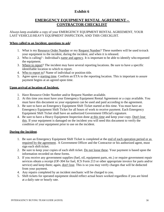# **EMERGENCY EQUIPMENT RENTAL AGREEMENT – CONTRACTOR CHECKLIST**

Always keep available a copy of your EMERGENCY EQUIPMENT RENTAL AGREEMENT, YOUR LAST VEHICLE/HEAVY EQUIPMENT INSPECTION, AND THIS CHECKLIST.

#### **When called to an Incident, questions to ask**!

- 1. What is my Resource Order Number or my Request Number? These numbers will be used to track your equipment to the incident, during the incident, and when it is released.
- 2. Who is calling? Individual's name and agency. It is important to be able to identify who requested the equipment.
- 3. Where to report? The incident may have several reporting locations. Be sure to have a specific identifiable location to which to report.
- 4. Who to report to? Name of individual or position title.
- 5. Agree upon a starting time. Confirm an ETA to the reporting location. This is important to assure payment begins at an agreed upon time.

#### **Upon arrival at location of Incident.**

- 1. Have Resource Order Number and/or Request Number available.
- 2. At this time you must have your Emergency Equipment Rental Agreement or a copy available. You must have this document so your equipment can be used and paid according to the agreement.
- 3. Be sure to have an Emergency Equipment Shift Ticket started at this time. You must have an Emergency Equipment Shift Ticket for all hours of work to receive payment. Each Emergency Equipment Shift Ticket shall have an authorized Government Official's signature.
- 4. Be sure to have a Heavy Equipment Inspection done at this time and keep your copy. Don't lose this. If your equipment is damaged on the incident you will need this document to verify the condition of your equipment prior to use on the incident.

#### **During the Incident**.

- 1. Be sure an Emergency Equipment Shift Ticket is completed at the end of each operation period or as required by the agreement. A Government Officer and the Contractor or his authorized agent, must sign each shift ticket.
- 2. Be sure to keep your copies of each shift ticket. Do not loose these. Your payment is based upon the information recorded on these forms.
- 3. If you receive any government supplies (fuel, oil, equipment parts, etc.) or require government repair services obtain a receipt (OF-304 for fuel, ICS Form 213 or other appropriate invoice for parts and/or service) and keep them; again, don't lose. This is so you may verify charges that will be deducted from your payment.
- 4. Any repairs completed by an incident mechanic will be charged to you.
- 5. Shift tickets for operated equipment should reflect actual hours worked regardless if you are hired at a daily rate or hourly rate.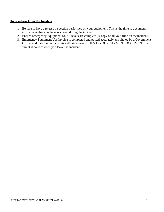#### **Upon release from the Incident**.

- 1. Be sure to have a release inspection performed on your equipment. This is the time to document any damage that may have occurred during the incident.
- 2. Ensure Emergency Equipment Shift Tickets are complete (A copy of all your time on the incident).
- 3. Emergency Equipment Use Invoice is completed and posted accurately and signed by a Government Officer and the Contractor or his authorized agent. THIS IS YOUR PAYMENT DOCUMENT, be sure it is correct when you leave the incident.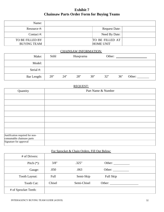# **Exhibit 7 Chainsaw Parts Order Form for Buying Teams**

| Name:                                 |                                     |  |
|---------------------------------------|-------------------------------------|--|
| Resource #:                           | <b>Request Date:</b>                |  |
| Contact $#$ :                         | Need By Date:                       |  |
| TO BE FILLED BY<br><b>BUYING TEAM</b> | TO BE FILLED AT<br><b>HOME UNIT</b> |  |

#### CHAINSAW INFORMATION:

| Make:       | Stihl | Husqvarna |     |     | Other: |     |        |
|-------------|-------|-----------|-----|-----|--------|-----|--------|
| Model:      |       |           |     |     |        |     |        |
| Serial #:   |       |           |     |     |        |     |        |
| Bar Length: | 20"   | 24"       | 28" | 30" | 32"    | 36" | Other: |

#### REQUEST:

| Quantity                                                     | Part Name & Number |  |  |  |  |
|--------------------------------------------------------------|--------------------|--|--|--|--|
|                                                              |                    |  |  |  |  |
|                                                              |                    |  |  |  |  |
|                                                              |                    |  |  |  |  |
|                                                              |                    |  |  |  |  |
|                                                              |                    |  |  |  |  |
|                                                              |                    |  |  |  |  |
|                                                              |                    |  |  |  |  |
| Justification required for non-<br>consumable chainsaw parts |                    |  |  |  |  |
| Signature for approval                                       |                    |  |  |  |  |

#### For Sprocket & Chain Orders, Fill Out Below:

| # of Drivers:        |        |             |           |  |
|----------------------|--------|-------------|-----------|--|
| Pitch $(*)$ :        | 3/8"   | .325"       | Other:    |  |
| Gauge:               | .050   | .063        | Other:    |  |
| Tooth Layout:        | Full   | Semi-Skip   | Full Skip |  |
| Tooth Cut:           | Chisel | Semi-Chisel | Other:    |  |
| # of Sprocket Teeth: |        |             |           |  |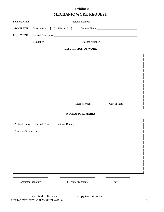# **Exhibit 8 MECHANIC WORK REQUEST**

| OWNERSHIP: Government [ ] Private [ ] Owner's Name _____________________________ |  |  |  |  |  |  |
|----------------------------------------------------------------------------------|--|--|--|--|--|--|
|                                                                                  |  |  |  |  |  |  |
| E-Number<br><u>License Number</u><br>License Number                              |  |  |  |  |  |  |
| <b>DESCRIPTION OF WORK</b>                                                       |  |  |  |  |  |  |
|                                                                                  |  |  |  |  |  |  |
|                                                                                  |  |  |  |  |  |  |
|                                                                                  |  |  |  |  |  |  |
|                                                                                  |  |  |  |  |  |  |
|                                                                                  |  |  |  |  |  |  |
|                                                                                  |  |  |  |  |  |  |
|                                                                                  |  |  |  |  |  |  |
| Hours Worked                                                                     |  |  |  |  |  |  |
| <b>MECHANIC REMARKS</b>                                                          |  |  |  |  |  |  |

|                        | Probable Cause: Normal Wear_____ Incident Damage_ |                    |      |  |
|------------------------|---------------------------------------------------|--------------------|------|--|
| Cause or Circumstance: |                                                   |                    |      |  |
|                        |                                                   |                    |      |  |
|                        |                                                   |                    |      |  |
|                        |                                                   |                    |      |  |
|                        |                                                   |                    |      |  |
|                        |                                                   |                    |      |  |
| Contractor Signature   |                                                   | Mechanic Signature | Date |  |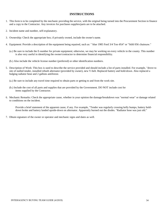#### **INSTRUCTIONS**

- 1. This form is to be completed by the mechanic providing the service, with the original being turned into the Procurement Section in finance and a copy to the Contractor. Any invoices for purchases supplies/parts are to be attached.
- 2. Incident name and number, self-explanatory.
- 3. Ownership: Check the appropriate box; if privately owned, include the owner's name.
- 4. Equipment: Provide a description of the equipment being repaired, such as: " blue 1985 Ford 3/4 Ton 4X4" or "Stihl 056 chainsaw."
	- (a.) Be sure to include the E-number for private equipment; otherwise, we may be working on every vehicle in the county. This number is also very useful in identifying the owner/contractor to determine financial responsibility.
	- (b.) Also include the vehicle license number (preferred) or other identification numbers.
- 5. Description of Work: This box is used to describe the service provided and should include a list of parts installed. For example, "drove to site of stalled tender, installed rebuilt alternator (provided by owner), new V-belt. Replaced battery and hold-down. Also replaced a bulging radiator hose and 2 gallons antifreeze.
	- (a.) Be sure to include any travel time required to obtain parts or getting to and from the work site.
	- (b.) Include the cost of all parts and supplies that are provided by the Government. DO NOT include cost for items supplied by the Contractor.
- 6. Mechanic Remarks: Check the appropriate cause, whether in your opinion the damage/breakdown was "normal wear" or damage related to conditions on the incident.

Provide a brief statement of the apparent cause, if any. For example, "Tender was regularly crossing kelly bumps, battery holddown broke and battery landed upside-down on alternator. Apparently burned out the diodes. "Radiator hose was just old."

7. Obtain signature of the owner or operator and mechanic signs and dates as well.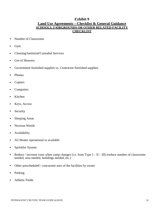#### **Exhibit 9 Land Use Agreements – Checklist & General Guidance SCHOOLS, FAIRGROUNDS OR OTHER RELATED FACILITY CHECKLIST**

- Number of Classrooms
- Gym
- Cleaning/Janitorial/Custodial Services
- Use of Showers
- Government furnished supplies vs. Contractor furnished supplies.
- Phones
- Copiers
- Computers
- Kitchen
- Keys, Access
- Security
- Sleeping Areas
- Noxious Weeds
- Availability
- AC/Heater operational or available
- Sprinkler System
- Reduce / increase costs when camp changes (i.e. from Type  $I II III$ ) (reduce number of classrooms needed, area needed, buildings needed, etc.)
- Other prescheduled / concurrent uses of the facilities by owner
- Parking
- Athletic Fields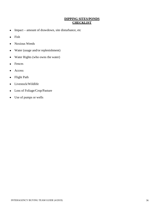#### **DIPPING SITES/PONDS CHECKLIST**

- **•** Impact amount of drawdown, site disturbance, etc
- **•** Fish
- **•** Noxious Weeds
- **•** Water (usage and/or replenishment)
- **•** Water Rights (who owns the water)
- **•** Fences
- **•** Access
- **•** Flight Path
- **•** Livestock/Wildlife
- **•** Loss of Foliage/Crop/Pasture
- **•** Use of pumps or wells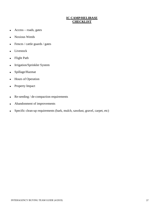#### **IC CAMP/HELIBASE CHECKLIST**

- **•** Access roads, gates
- **•** Noxious Weeds
- **•** Fences / cattle guards / gates
- **•** Livestock
- **•** Flight Path
- **•** Irrigation/Sprinkler System
- **•** Spillage/Hazmat
- **•** Hours of Operation
- **•** Property Impact
- **•** Re-seeding / de-compaction requirements
- **•** Abandonment of improvements
- **•** Specific clean-up requirements (bark, mulch, sawdust, gravel, carpet, etc)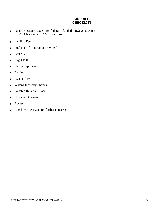## **AIRPORTS CHECKLIST**

- Facilities Usage (except for federally funded runways, towers) o Check other FAA restrictions
- Landing Fee
- Fuel Fee (If Contractor provided)
- Security
- Flight Path
- Hazmat/Spillage
- Parking
- **Availability**
- Water/Electricity/Phones
- Portable Retardant Base
- Hours of Operation
- Access
- Check with Air Ops for further concerns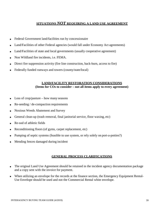#### **SITUATIONS** *NOT* **REQUIRING A LAND USE AGREEMENT**

- Federal Government land/facilities run by concessionaire
- Land/Facilities of other Federal agencies (would fall under Economy Act agreements)
- Land/Facilities of state and local governments (usually cooperative agreement)
- Non Wildland fire incidents, i.e. FEMA.
- Direct fire suppression activity (fire line construction, back-burn, access to fire)
- Federally funded runways and towers (county/state/local)

#### **LAND/FACILITY RESTORATION CONSIDERATIONS (Items for COs to consider – not all items apply to every agreement)**

- Loss of crop/pasture how many seasons
- Re-seeding / de-compaction requirements
- Noxious Weeds Abatement and Survey
- General clean-up (trash removal, final janitorial service, floor waxing, etc)
- Re-sod of athletic fields
- Reconditioning floors (of gyms, carpet replacement, etc)
- Pumping of septic systems (feasible to use system, or rely solely on port-a-potties?)
- Mending fences damaged during incident

#### **GENERAL PROCESS CLARIFICATIONS**

- The original Land Use Agreement should be retained in the incident agency documentation package and a copy sent with the invoice for payment.
- When utilizing an envelope for the records at the finance section, the Emergency Equipment Rental-Use Envelope should be used and not the Commercial Rental white envelope.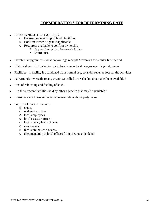## **CONSIDERATIONS FOR DETERMINING RATE**

- BEFORE NEGOTIATING RATE:
	- o Determine ownership of land / facilities
	-
	- o Confirm owner's agent if applicable
		- City or County Tax Assessor's Office
		- Courthouse
- Private Campgrounds what are average receipts / revenues for similar time period
- Historical record of rates for use in local area local rangers may be good source
- Facilities if facility is abandoned from normal use, consider revenue lost for the activities
- Fairgrounds were there any events cancelled or rescheduled to make them available?
- Cost of relocating and feeding of stock
- Are there vacant facilities held by other agencies that may be available?
- Consider a not to exceed rate commensurate with property value
- Sources of market research:
	- o banks
	- o real estate offices
	- o local employees
	- o local assessor offices
	- o local agency lands offices
	- o newspapers
	- o feed store bulletin boards
	- o documentation at local offices from previous incidents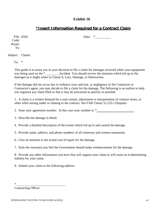# **\*Insert Information Required for a Contract Claim**

File: 6320 Code: Route: To:

Subject: Claims

To:  $*$ 

This guide is to assist you in your decision to file a claim for damages incurred while your equipment was being used on the \* Incident. You should review the situation which led up to the damages as it might relate to Clause 9, Loss, Damage, or Destruction.

If the damage did not occur due to ordinary wear and tear, or negligence of the Contractor or Contractor's agent, you may decide to file a claim for the damage. The following is an outline to help you organize any claim filed so that it may be processed as quickly as possible.

1. A claim is a written demand for a sum certain, adjustment or interpretation of contract terms, or other relief arising under or relating to the contract. See FAR Clause 52.233-1 Disputes

2. State your agreement number. In this case your number is:  $*$  .

3. Describe the damage in detail.

4. Provide a detailed description of the events which led up to and caused the damage.

5. Provide name, address, and phone numbers of all witnesses and witness statements.

6. Give an estimate or the actual cost of repair for the damage.

7. State the reason(s) you feel the Government should make reimbursement for the damage.

8. Provide any other information you have that will support your claim or will assist us in determining liability for your claim.

9. Submit your claim to the following address:

\*

Contracting Officer

Date: \*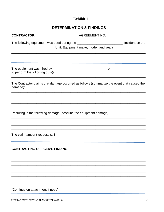# **DETERMINATION & FINDINGS**

|                                                                    | The following equipment was used during the ________________________________ Incident on the<br>Letter Unit. Equipment make, model, and year) Letter Letter Letter Letter Letter Letter Letter Letter Letter |
|--------------------------------------------------------------------|--------------------------------------------------------------------------------------------------------------------------------------------------------------------------------------------------------------|
|                                                                    | <u> 1989 - Johann Harry Harry Harry Harry Harry Harry Harry Harry Harry Harry Harry Harry Harry Harry Harry Harry</u>                                                                                        |
| damage):                                                           | The Contractor claims that damage occurred as follows (summarize the event that caused the                                                                                                                   |
| Resulting in the following damage (describe the equipment damage): |                                                                                                                                                                                                              |
|                                                                    | ,我们也不能在这里的时候,我们也不能在这里的时候,我们也不能在这里的时候,我们也不能会在这里的时候,我们也不能会在这里的时候,我们也不能会在这里的时候,我们也不                                                                                                                             |
| <b>CONTRACTING OFFICER'S FINDING:</b>                              |                                                                                                                                                                                                              |
|                                                                    |                                                                                                                                                                                                              |
| (Continue on attachment if need)                                   |                                                                                                                                                                                                              |

INTERAGENCY BUYING TEAM GUIDE (4/2019)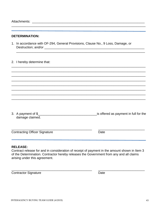#### **DETERMINATION:**

1. In accordance with OF-294, General Provisions, Clause No., 9 Loss, Damage, or 

2. I hereby determine that:

| 3. A payment of \$ | is offered as payment in full for the |
|--------------------|---------------------------------------|
| damage claimed.    |                                       |

**Contracting Officer Signature** 

Date

#### **RELEASE:**

Contract release for and in consideration of receipt of payment in the amount shown in Item 3 of the Determination. Contractor hereby releases the Government from any and all claims arising under this agreement.

**Contractor Signature** 

Date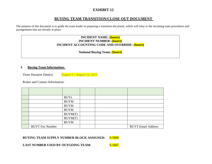# **EXHIBIT 12**

# **BUYING TEAM TRANSITION/CLOSE OUT DOCUMENT**

The purpose of this document is to guide the team leader in preparing a transition document, which will relay to the incoming team procedures and arrangements that are already in place.

#### **INCIDENT NAME: (Insert) INCIDENT NUMBER: (Insert) INCIDENT ACCOUNTING CODE AND OVERRIDE: (Insert)**

**National Buying Team: (Insert)** 

#### **I. Buying Team Information:**

Team Duration Date(s):  $\frac{\text{August 1} - \text{August 14, 2017}}{\text{August 14, 2017}}$ 

Roster and Contact Information:

|                        | <b>BUYL</b> |  |                           |
|------------------------|-------------|--|---------------------------|
|                        | <b>BUYM</b> |  |                           |
|                        | <b>BUYM</b> |  |                           |
|                        | <b>BUYM</b> |  |                           |
|                        | BUYM(T)     |  |                           |
|                        | BUYM(T)     |  |                           |
|                        | <b>BUYM</b> |  |                           |
| <b>BUYT Fax Number</b> |             |  | <b>BUYT Email Address</b> |

#### **BUYING TEAM SUPPLY NUMBER BLOCK ASSIGNED:** S-5000

**LAST NUMBER USED BY OUTGOING TEAM:** S-5007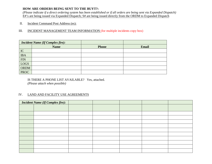#### **HOW ARE ORDERS BEING SENT TO THE BUYT?:**

*(Please indicate if a direct ordering system has been established or if all orders are being sent via Expanded Dispatch)*  E#'s are being issued via Expanded Dispatch; S# are being issued directly from the ORDM to Expanded Dispatch

#### II. Incident Command Post Address (es):

#### III. INCIDENT MANAGEMENT TEAM INFORMATION (for multiple incidents copy box)

| <b>Incident Name (If Complex fire):</b> |             |              |              |
|-----------------------------------------|-------------|--------------|--------------|
|                                         | <b>Name</b> | <b>Phone</b> | <b>Email</b> |
| IC                                      |             |              |              |
| <b>IBA</b>                              |             |              |              |
| <b>FIN</b>                              |             |              |              |
| LOGS                                    |             |              |              |
| <b>ORDM</b>                             |             |              |              |
| <b>PROC</b>                             |             |              |              |

IS THERE A PHONE LIST AVAILABLE? Yes, attached. *(Please attach when possible)* 

#### IV. LAND AND FACILITY USE AGREEMENTS

| <b>Incident Name (If Complex fire):</b> |  |  |  |
|-----------------------------------------|--|--|--|
|                                         |  |  |  |
|                                         |  |  |  |
|                                         |  |  |  |
|                                         |  |  |  |
|                                         |  |  |  |
|                                         |  |  |  |
|                                         |  |  |  |
|                                         |  |  |  |
|                                         |  |  |  |
|                                         |  |  |  |
|                                         |  |  |  |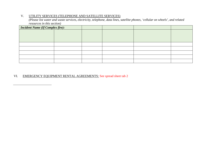#### V. UTILITY SERVICES (TELEPHONE AND SATELLITE SERVICES)

*(Please list water and waste services, electricity, telephone, data lines, satellite phones, 'cellular on wheels', and related resources in this section)*

| <b>Incident Name (If Complex fire):</b> |  |  |  |
|-----------------------------------------|--|--|--|
|                                         |  |  |  |
|                                         |  |  |  |
|                                         |  |  |  |
|                                         |  |  |  |
|                                         |  |  |  |
|                                         |  |  |  |
|                                         |  |  |  |
|                                         |  |  |  |

#### VI. EMERGENCY EQUIPMENT RENTAL AGREEMENTS: See spread sheet tab 2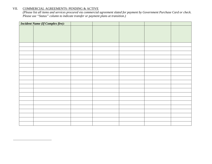#### VII. COMMERCIAL AGREEMENTS: PENDING & ACTIVE

*(Please list all items and services procured via commercial agreement slated for payment by Government Purchase Card or check. Please use "Status" column to indicate transfer or payment plans at transition.)* 

| <b>Incident Name (If Complex fire):</b> |  |  |  |
|-----------------------------------------|--|--|--|
|                                         |  |  |  |
|                                         |  |  |  |
|                                         |  |  |  |
|                                         |  |  |  |
|                                         |  |  |  |
|                                         |  |  |  |
|                                         |  |  |  |
|                                         |  |  |  |
|                                         |  |  |  |
|                                         |  |  |  |
|                                         |  |  |  |
|                                         |  |  |  |
|                                         |  |  |  |
|                                         |  |  |  |
|                                         |  |  |  |
|                                         |  |  |  |
|                                         |  |  |  |
|                                         |  |  |  |
|                                         |  |  |  |
|                                         |  |  |  |
|                                         |  |  |  |
|                                         |  |  |  |
|                                         |  |  |  |
|                                         |  |  |  |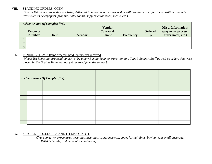#### VIII. STANDING ORDERS: OPEN

*(Please list all resources that are being delivered in intervals or resources that will remain in use after the transition. Include items such as newspapers, propane, hotel rooms, supplemental foods, meals, etc.)* 

| <b>Incident Name (If Complex fire):</b> |                                  |             |        |                                               |                  |                      |                                                                       |
|-----------------------------------------|----------------------------------|-------------|--------|-----------------------------------------------|------------------|----------------------|-----------------------------------------------------------------------|
|                                         | <b>Resource</b><br><b>Number</b> | <b>Item</b> | Vendor | <b>Vendor</b><br>Contact $\&$<br><b>Phone</b> | <b>Frequency</b> | <b>Ordered</b><br>By | <b>Misc. Information:</b><br>(payments process,<br>order notes, etc.) |
|                                         |                                  |             |        |                                               |                  |                      |                                                                       |
|                                         |                                  |             |        |                                               |                  |                      |                                                                       |
| $\sim$                                  |                                  |             |        |                                               |                  |                      |                                                                       |

#### IX. PENDING ITEMS: Items ordered, paid, but not yet received

*(Please list items that are pending arrival by a new Buying Team or transition to a Type 3 Support Staff as well as orders that were placed by the Buying Team, but not yet received from the vendor).* 

| <b>Incident Name (If Complex fire):</b> |  |  |  |  |  |  |  |
|-----------------------------------------|--|--|--|--|--|--|--|
|                                         |  |  |  |  |  |  |  |
|                                         |  |  |  |  |  |  |  |
|                                         |  |  |  |  |  |  |  |
|                                         |  |  |  |  |  |  |  |
|                                         |  |  |  |  |  |  |  |
|                                         |  |  |  |  |  |  |  |
|                                         |  |  |  |  |  |  |  |
|                                         |  |  |  |  |  |  |  |
|                                         |  |  |  |  |  |  |  |

#### X. SPECIAL PROCEDURES AND ITEMS OF NOTE

*(Transportation procedures, briefings, meetings, conference call, codes for buildings, buying team email/passcode, INBA Schedule, and items of special notes)*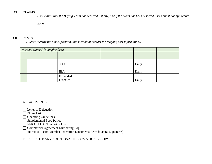#### XI. CLAIMS

*(List claims that the Buying Team has received – if any, and if the claim has been resolved. List none if not applicable)* 

none

#### XII. COSTS

*(Please identify the name, position, and method of contact for relaying cost information.)* 

| Incident Name (If Complex fire): |                      |  |       |  |
|----------------------------------|----------------------|--|-------|--|
|                                  |                      |  |       |  |
|                                  |                      |  |       |  |
|                                  | <b>COST</b>          |  | Daily |  |
|                                  | <b>IBA</b>           |  | Daily |  |
|                                  | Expanded<br>Dispatch |  | Daily |  |

#### **ATTACHMENTS**

Letter of Delegation

Phone List

Operating Guidelines

Supplemental Food Policy

EERA / LUA Numbering Log

Commercial Agreement Numbering Log

Individual Team Member Transition Documents (with bilateral signatures)

 \_\_\_\_\_\_\_\_\_\_\_\_\_\_\_\_\_\_\_\_\_\_\_\_\_\_\_\_\_ PLEASE NOTE ANY ADDITIONAL INFORMATION BELOW: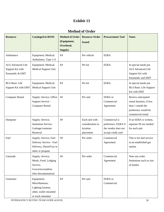# **Method of Order**

| <b>Resource</b>                                                 | <b>Cataloged in ROSS</b>                                                                          | <b>Method of Order</b><br>(Equipment,<br>Overhead,<br>Supply) | <b>Resource Order</b><br><b>Issued</b>                      | <b>Procurement Tool</b>                                                           | <b>Notes</b>                                                                                                   |
|-----------------------------------------------------------------|---------------------------------------------------------------------------------------------------|---------------------------------------------------------------|-------------------------------------------------------------|-----------------------------------------------------------------------------------|----------------------------------------------------------------------------------------------------------------|
| Ambulance                                                       | Equipment; Medical;<br>Ambulance, Type 1-4                                                        | E#                                                            | Per vehicle                                                 | <b>EERA</b>                                                                       |                                                                                                                |
| <b>ALS Advanced Life</b><br>Support Kit with<br>Paramedic & EMT | Equipment; Medical;<br><b>Medical Support Unit</b>                                                | $\mathrm{E}\#$                                                | Per kit                                                     | <b>EERA</b>                                                                       | In special needs put<br><b>ALS Advanced Life</b><br>Support Kit with<br>Paramedic and EMT                      |
| <b>BLS Basic Life</b><br>Support Kit with EMT                   | Equipment; Medical;<br>Medical Support Unit                                                       | E#                                                            | Per kit                                                     | <b>EERA</b>                                                                       | In special needs put<br><b>BLS Basic Life Support</b><br>Kit with EMT                                          |
| <b>Computer Rental</b>                                          | Supply; Service, Office<br>Support Service -<br><b>Computer Rental</b>                            | $\mathbf{S} \#$                                               | Per unit                                                    | <b>EERA</b> or<br>Commercial<br>Agreement                                         | Review anticipated<br>rental duration, if less<br>than 1 month the<br>preference would be<br>commercial rental |
| Dumpster                                                        | Supply; Service,<br>Sanitation Service,<br>Garbage/container<br>Removal                           | $\mathbf{S} \#$                                               | Each unit with<br>consideration to<br>location<br>placement | Commercial is<br>preference, EERA if<br>the vendor does not<br>accept credit card | If an EERA is written,<br>separate S# are needed<br>for each unit                                              |
| Fuel                                                            | Supply; Service, Fuel<br>Delivery Service - Fuel<br>Delivery, Diesel/Gas or<br>other or propane   | S#                                                            | Per order                                                   | Commercial<br>Agreement                                                           | This is for fuel service<br>at an established gas<br>station                                                   |
| Gatorade                                                        | Supply; Service,<br>Meals, Food, Lodging<br>Service,<br>Groceries/sundries<br>(See documentation) | S#                                                            | Per order                                                   | Commercial<br>Agreement                                                           | Note any order<br>limitations such as size<br>of bottles                                                       |
| Generator                                                       | Equipment;<br>Miscellaneous;<br>Lighting System;<br>other, trailer mounted<br>or truck mounted    | $\mathrm{E}\#$                                                | Per unit                                                    | EERA or<br>Commercial                                                             |                                                                                                                |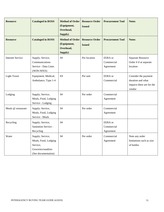| <b>Resource</b>         | <b>Cataloged in ROSS</b>                                                                          | <b>Method of Order</b><br>(Equipment,<br>Overhead,<br>Supply) | <b>Resource Order</b><br><b>Issued</b> | <b>Procurement Tool</b>                   | <b>Notes</b>                                                                     |
|-------------------------|---------------------------------------------------------------------------------------------------|---------------------------------------------------------------|----------------------------------------|-------------------------------------------|----------------------------------------------------------------------------------|
| <b>Resource</b>         | <b>Cataloged in ROSS</b>                                                                          | <b>Method of Order</b><br>(Equipment,<br>Overhead,<br>Supply) | <b>Resource Order</b><br><b>Issued</b> | <b>Procurement Tool</b>                   | <b>Notes</b>                                                                     |
| <b>Internet Service</b> | Supply; Service,<br>Communications<br>Service - Data Lines<br>(NON-NFES)                          | S#                                                            | Per location                           | <b>EERA</b> or<br>Commercial<br>Agreement | Separate Resource<br>Order # if at separate<br>location                          |
| <b>Light Tower</b>      | Equipment; Medical;<br>Ambulance, Type 1-4                                                        | E#                                                            | Per unit                               | <b>EERA</b> or<br>Commercial              | Consider the payment<br>duration and what<br>impacts there are for the<br>vendor |
| Lodging                 | Supply; Service,<br>Meals, Food, Lodging<br>Service - Lodging                                     | S#                                                            | Per order                              | Commercial<br>Agreement                   |                                                                                  |
| Meals @ restaurant      | Supply; Service,<br>Meals, Food, Lodging<br>Service - Meals                                       | $\mathbf{S} \#$                                               | Per order                              | Commercial<br>Agreement                   |                                                                                  |
| Recycling               | Supply; Service,<br>Sanitation Service -<br>Recycling                                             | S#                                                            |                                        | <b>EERA</b> or<br>Commercial<br>Agreement |                                                                                  |
| Water                   | Supply; Service,<br>Meals, Food, Lodging<br>Service,<br>Groceries/sundries<br>(See documentation) | S#                                                            | Per order                              | Commercial<br>Agreement                   | Note any order<br>limitations such as size<br>of bottles                         |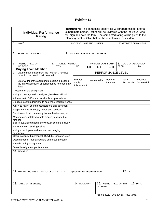| <b>Individual Performance</b><br>Rating                                                                           |                                                                 | Instructions: The immediate supervisor will prepare this form for a<br>subordinate person. Rating will be reviewed with the individual who<br>will sign and date the form. The completed rating will be given to the<br>Planning Section Chief before the rater leaves the incident. |    |                 |                                         |                 |                     |  |                           |
|-------------------------------------------------------------------------------------------------------------------|-----------------------------------------------------------------|--------------------------------------------------------------------------------------------------------------------------------------------------------------------------------------------------------------------------------------------------------------------------------------|----|-----------------|-----------------------------------------|-----------------|---------------------|--|---------------------------|
| 1.<br>NAME:                                                                                                       | 2.<br><b>INCIDENT NAME AND NUMBER</b><br>START DATE OF INCIDENT |                                                                                                                                                                                                                                                                                      |    |                 |                                         |                 |                     |  |                           |
| 3.<br>HOME UNIT ADDRESS                                                                                           | 4.                                                              | INCIDENT AGENCY AND ADDRESS                                                                                                                                                                                                                                                          |    |                 |                                         |                 |                     |  |                           |
| 5.<br>6.<br>POSITION HELD ON<br><b>INCIDENT</b><br>$\Box$ YES<br><b>Buying Team Member</b>                        | <b>TRAINEE POSITION</b><br>$\perp$                              | 7.<br><b>NO</b>                                                                                                                                                                                                                                                                      | ΠI | $\square$ ll    | <b>INCIDENT COMPLEXITY</b><br>$\square$ | 8.<br>FROM:     |                     |  | DATE OF ASSIGNMENT<br>TO: |
| 9. List the main duties from the Position Checklist,<br>on which the position will be rated                       |                                                                 | PERFORMANCE LEVEL                                                                                                                                                                                                                                                                    |    |                 |                                         |                 |                     |  |                           |
| Enter X under the appropriate column indicating<br>the individual's level of performance for each duty<br>listed. |                                                                 | Did not<br>apply on<br>this incident                                                                                                                                                                                                                                                 |    | Unacceptable    | Need to<br>Improve                      |                 | Fully<br>Successful |  | Exceeds<br>Successful     |
| Prepared for the assignment                                                                                       |                                                                 |                                                                                                                                                                                                                                                                                      |    |                 |                                         |                 |                     |  |                           |
| Ability to manage tasks assigned, handle workload                                                                 |                                                                 |                                                                                                                                                                                                                                                                                      |    |                 |                                         |                 |                     |  |                           |
| Adherence to SIIBM and local policies/procedures                                                                  |                                                                 |                                                                                                                                                                                                                                                                                      |    |                 |                                         |                 |                     |  |                           |
| Source selection decisions to best meet incident needs                                                            |                                                                 |                                                                                                                                                                                                                                                                                      |    |                 |                                         |                 |                     |  |                           |
| Ability to make sound cost decisions and document<br>Response time for supply goods and services                  |                                                                 |                                                                                                                                                                                                                                                                                      |    |                 |                                         |                 |                     |  |                           |
| Sensitive to local community issues, businesses, etc.                                                             |                                                                 |                                                                                                                                                                                                                                                                                      |    |                 |                                         |                 |                     |  |                           |
| Manage accountable/durable property assigned to                                                                   |                                                                 |                                                                                                                                                                                                                                                                                      |    |                 |                                         |                 |                     |  |                           |
| him/her                                                                                                           |                                                                 |                                                                                                                                                                                                                                                                                      |    |                 |                                         |                 |                     |  |                           |
| Skill in evaluating goods, services, prices and delivery                                                          |                                                                 |                                                                                                                                                                                                                                                                                      |    |                 |                                         |                 |                     |  |                           |
| Performance in settling claims                                                                                    |                                                                 |                                                                                                                                                                                                                                                                                      |    |                 |                                         |                 |                     |  |                           |
| Ability to anticipate and respond to changing<br>conditions                                                       |                                                                 |                                                                                                                                                                                                                                                                                      |    |                 |                                         |                 |                     |  |                           |
| Coordination with personnel (BUYL/M, Dispatch, etc.)                                                              |                                                                 |                                                                                                                                                                                                                                                                                      |    |                 |                                         |                 |                     |  |                           |
| Documentation maintained and submitted properly                                                                   |                                                                 |                                                                                                                                                                                                                                                                                      |    |                 |                                         |                 |                     |  |                           |
| Attitude during assignment                                                                                        |                                                                 |                                                                                                                                                                                                                                                                                      |    |                 |                                         |                 |                     |  |                           |
| Overall assignment performance                                                                                    |                                                                 |                                                                                                                                                                                                                                                                                      |    |                 |                                         |                 |                     |  |                           |
| 10. REMARKS                                                                                                       |                                                                 |                                                                                                                                                                                                                                                                                      |    |                 |                                         |                 |                     |  |                           |
|                                                                                                                   |                                                                 |                                                                                                                                                                                                                                                                                      |    |                 |                                         |                 |                     |  |                           |
| 11. THIS RATING HAS BEEN DISCUSSED WITH ME                                                                        | (Signature of individual being rated.)                          |                                                                                                                                                                                                                                                                                      |    |                 |                                         | <b>12. DATE</b> |                     |  |                           |
|                                                                                                                   |                                                                 |                                                                                                                                                                                                                                                                                      |    |                 |                                         |                 |                     |  |                           |
| 13. RATED BY (Signature)                                                                                          |                                                                 | 14. HOME UNIT                                                                                                                                                                                                                                                                        |    | <b>INCIDENT</b> | 15. POSITION HELD ON THIS               |                 |                     |  | <b>16. DATE</b>           |
|                                                                                                                   |                                                                 |                                                                                                                                                                                                                                                                                      |    |                 | NFES 2074 ICS FORM 226 (6/89)           |                 |                     |  |                           |
|                                                                                                                   |                                                                 |                                                                                                                                                                                                                                                                                      |    |                 |                                         |                 |                     |  |                           |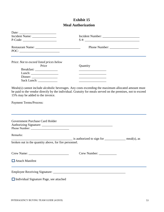# **Exhibit 15 Meal Authorization**

| $P\text{-Code:}\n$                                                                                                                                                                                                                                                                                                                                                                                                                                                                                                                                            |                                                                                                                                   |  |  |  |  |  |
|---------------------------------------------------------------------------------------------------------------------------------------------------------------------------------------------------------------------------------------------------------------------------------------------------------------------------------------------------------------------------------------------------------------------------------------------------------------------------------------------------------------------------------------------------------------|-----------------------------------------------------------------------------------------------------------------------------------|--|--|--|--|--|
| $\text{POC:}\n \underline{\hspace{2cm}}\n \underline{\hspace{2cm}}\n \underline{\hspace{2cm}}\n \underline{\hspace{2cm}}\n \underline{\hspace{2cm}}\n \underline{\hspace{2cm}}\n \underline{\hspace{2cm}}\n \underline{\hspace{2cm}}\n \underline{\hspace{2cm}}\n \underline{\hspace{2cm}}\n \underline{\hspace{2cm}}\n \underline{\hspace{2cm}}\n \underline{\hspace{2cm}}\n \underline{\hspace{2cm}}\n \underline{\hspace{2cm}}\n \underline{\hspace{2cm}}\n \underline{\hspace{2cm}}\n \underline{\hspace{2cm}}\n \underline{\hspace{2cm}}\n \underline{\$ | Phone Number:                                                                                                                     |  |  |  |  |  |
| Price: Not to exceed listed prices below<br>Price<br>Lunch: $\frac{1}{\sqrt{1-\frac{1}{2}}\sqrt{1-\frac{1}{2}}\sqrt{1-\frac{1}{2}}\sqrt{1-\frac{1}{2}}\sqrt{1-\frac{1}{2}}\sqrt{1-\frac{1}{2}}\sqrt{1-\frac{1}{2}}\sqrt{1-\frac{1}{2}}\sqrt{1-\frac{1}{2}}\sqrt{1-\frac{1}{2}}\sqrt{1-\frac{1}{2}}\sqrt{1-\frac{1}{2}}\sqrt{1-\frac{1}{2}}\sqrt{1-\frac{1}{2}}\sqrt{1-\frac{1}{2}}\sqrt{1-\frac{1}{2}}\sqrt{1-\frac{1}{2}}\sqrt{1-\frac{1}{2}}\sqrt{1-\frac{1}{2$<br>$Dinner: \_\_$<br>Sack Lunch: _____________                                              | Quantity<br><u> 1989 - Johann Harry Harry Harry Harry Harry Harry Harry Harry Harry Harry Harry Harry Harry Harry Harry Harry</u> |  |  |  |  |  |
| Meals(s) cannot include alcoholic beverages. Any costs exceeding the maximum allocated amount must<br>be paid to the vendor directly by the individual. Gratuity for meals served on the premises, not to exceed<br>15% may be added to the invoice.<br><b>Payment Terms/Process:</b>                                                                                                                                                                                                                                                                         |                                                                                                                                   |  |  |  |  |  |
| Government Purchase Card Holder                                                                                                                                                                                                                                                                                                                                                                                                                                                                                                                               |                                                                                                                                   |  |  |  |  |  |
| Remarks:<br>broken out in the quantity above, for fire personnel.                                                                                                                                                                                                                                                                                                                                                                                                                                                                                             | $\frac{1}{1}$ is authorized to sign for $\frac{1}{1}$ meal(s), as                                                                 |  |  |  |  |  |
| Attach Manifest                                                                                                                                                                                                                                                                                                                                                                                                                                                                                                                                               | Crew Number:                                                                                                                      |  |  |  |  |  |
| Individual Signature Page, see attached                                                                                                                                                                                                                                                                                                                                                                                                                                                                                                                       |                                                                                                                                   |  |  |  |  |  |